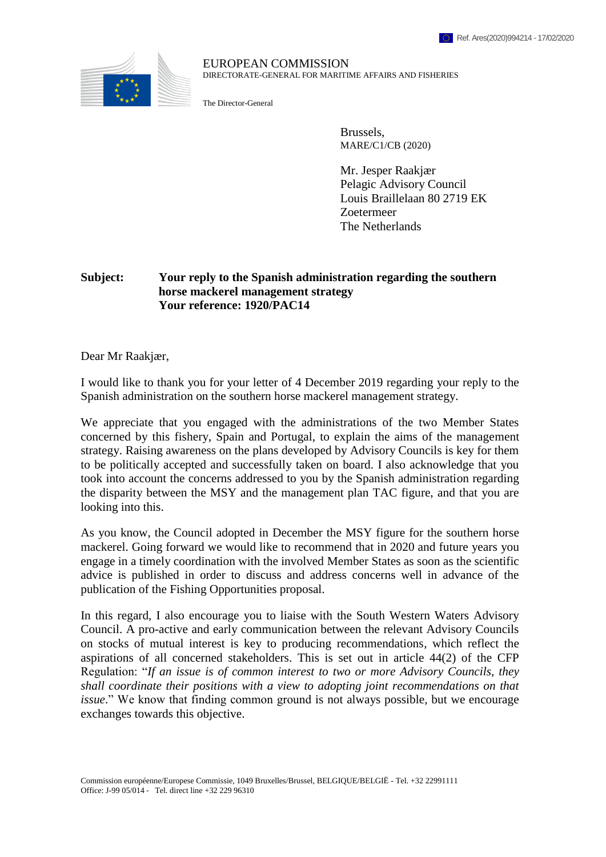

## EUROPEAN COMMISSION DIRECTORATE-GENERAL FOR MARITIME AFFAIRS AND FISHERIES

The Director-General

Brussels, MARE/C1/CB (2020)

Mr. Jesper Raakjær Pelagic Advisory Council Louis Braillelaan 80 2719 EK Zoetermeer The Netherlands

## **Subject: Your reply to the Spanish administration regarding the southern horse mackerel management strategy Your reference: 1920/PAC14**

Dear Mr Raakjær,

I would like to thank you for your letter of 4 December 2019 regarding your reply to the Spanish administration on the southern horse mackerel management strategy.

We appreciate that you engaged with the administrations of the two Member States concerned by this fishery, Spain and Portugal, to explain the aims of the management strategy. Raising awareness on the plans developed by Advisory Councils is key for them to be politically accepted and successfully taken on board. I also acknowledge that you took into account the concerns addressed to you by the Spanish administration regarding the disparity between the MSY and the management plan TAC figure, and that you are looking into this.

As you know, the Council adopted in December the MSY figure for the southern horse mackerel. Going forward we would like to recommend that in 2020 and future years you engage in a timely coordination with the involved Member States as soon as the scientific advice is published in order to discuss and address concerns well in advance of the publication of the Fishing Opportunities proposal.

In this regard, I also encourage you to liaise with the South Western Waters Advisory Council. A pro-active and early communication between the relevant Advisory Councils on stocks of mutual interest is key to producing recommendations, which reflect the aspirations of all concerned stakeholders. This is set out in article 44(2) of the CFP Regulation: "*If an issue is of common interest to two or more Advisory Councils, they shall coordinate their positions with a view to adopting joint recommendations on that issue*." We know that finding common ground is not always possible, but we encourage exchanges towards this objective.